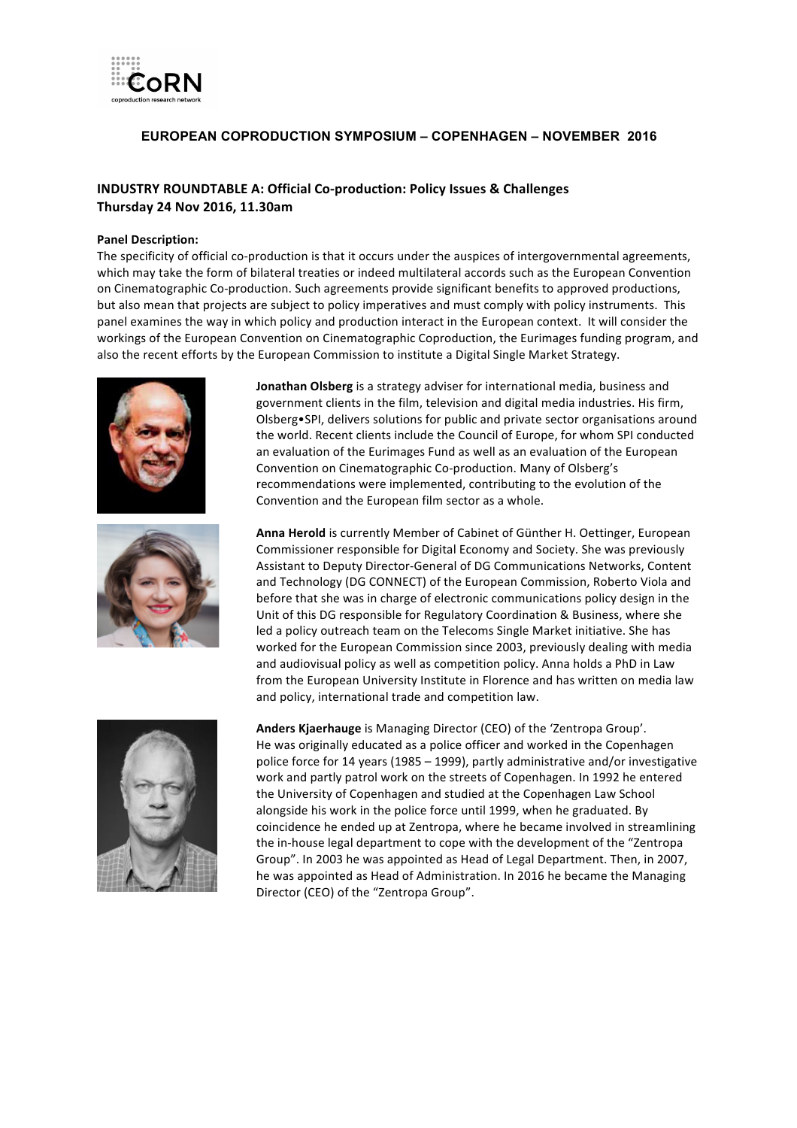

### **EUROPEAN COPRODUCTION SYMPOSIUM – COPENHAGEN – NOVEMBER 2016**

## **INDUSTRY ROUNDTABLE A: Official Co-production: Policy Issues & Challenges Thursday 24 Nov 2016, 11.30am**

#### **Panel Description:**

The specificity of official co-production is that it occurs under the auspices of intergovernmental agreements, which may take the form of bilateral treaties or indeed multilateral accords such as the European Convention on Cinematographic Co-production. Such agreements provide significant benefits to approved productions, but also mean that projects are subject to policy imperatives and must comply with policy instruments. This panel examines the way in which policy and production interact in the European context. It will consider the workings of the European Convention on Cinematographic Coproduction, the Eurimages funding program, and also the recent efforts by the European Commission to institute a Digital Single Market Strategy.





**Jonathan Olsberg** is a strategy adviser for international media, business and government clients in the film, television and digital media industries. His firm, Olsberg•SPI, delivers solutions for public and private sector organisations around the world. Recent clients include the Council of Europe, for whom SPI conducted an evaluation of the Eurimages Fund as well as an evaluation of the European Convention on Cinematographic Co-production. Many of Olsberg's recommendations were implemented, contributing to the evolution of the Convention and the European film sector as a whole.

Anna Herold is currently Member of Cabinet of Günther H. Oettinger, European Commissioner responsible for Digital Economy and Society. She was previously Assistant to Deputy Director-General of DG Communications Networks, Content and Technology (DG CONNECT) of the European Commission, Roberto Viola and before that she was in charge of electronic communications policy design in the Unit of this DG responsible for Regulatory Coordination & Business, where she led a policy outreach team on the Telecoms Single Market initiative. She has worked for the European Commission since 2003, previously dealing with media and audiovisual policy as well as competition policy. Anna holds a PhD in Law from the European University Institute in Florence and has written on media law and policy, international trade and competition law.



Anders Kjaerhauge is Managing Director (CEO) of the 'Zentropa Group'. He was originally educated as a police officer and worked in the Copenhagen police force for 14 years (1985 – 1999), partly administrative and/or investigative work and partly patrol work on the streets of Copenhagen. In 1992 he entered the University of Copenhagen and studied at the Copenhagen Law School alongside his work in the police force until 1999, when he graduated. By coincidence he ended up at Zentropa, where he became involved in streamlining the in-house legal department to cope with the development of the "Zentropa" Group". In 2003 he was appointed as Head of Legal Department. Then, in 2007, he was appointed as Head of Administration. In 2016 he became the Managing Director (CEO) of the "Zentropa Group".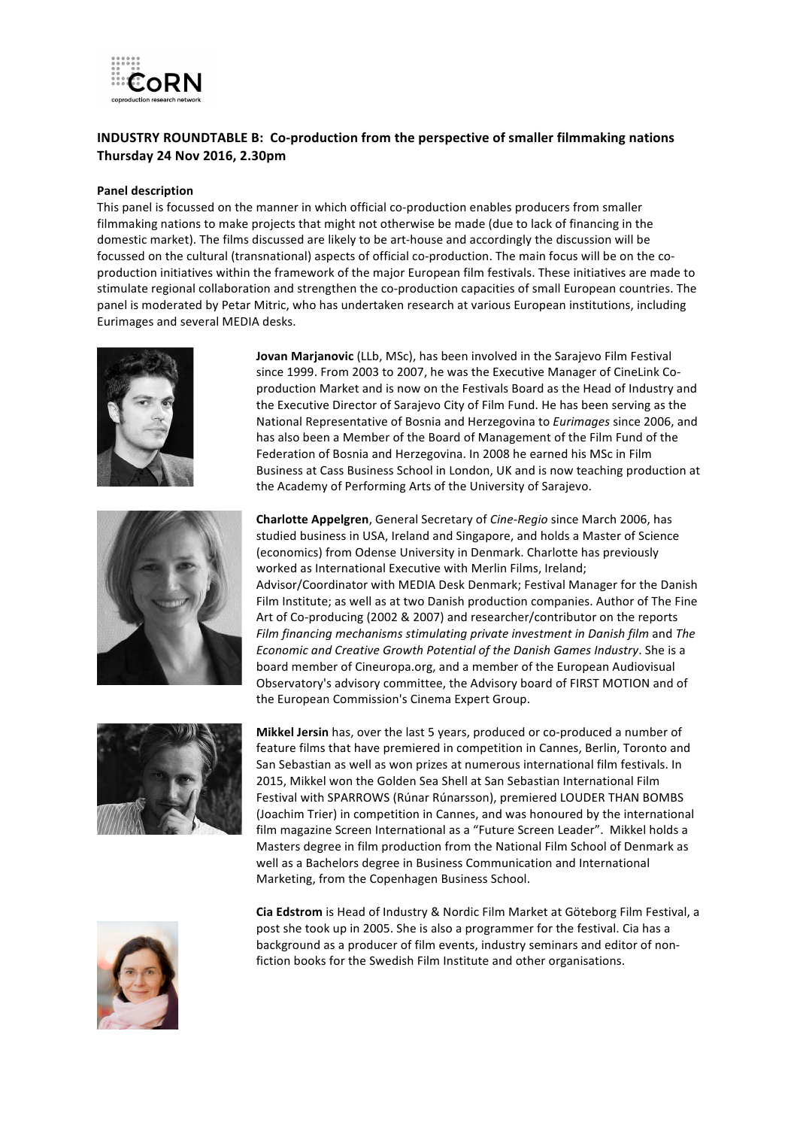

# **INDUSTRY ROUNDTABLE B: Co-production from the perspective of smaller filmmaking nations Thursday 24 Nov 2016, 2.30pm**

#### **Panel description**

This panel is focussed on the manner in which official co-production enables producers from smaller filmmaking nations to make projects that might not otherwise be made (due to lack of financing in the domestic market). The films discussed are likely to be art-house and accordingly the discussion will be focussed on the cultural (transnational) aspects of official co-production. The main focus will be on the coproduction initiatives within the framework of the major European film festivals. These initiatives are made to stimulate regional collaboration and strengthen the co-production capacities of small European countries. The panel is moderated by Petar Mitric, who has undertaken research at various European institutions, including Eurimages and several MEDIA desks.





**Jovan Marjanovic** (LLb, MSc), has been involved in the Sarajevo Film Festival since 1999. From 2003 to 2007, he was the Executive Manager of CineLink Coproduction Market and is now on the Festivals Board as the Head of Industry and the Executive Director of Sarajevo City of Film Fund. He has been serving as the National Representative of Bosnia and Herzegovina to *Eurimages* since 2006, and has also been a Member of the Board of Management of the Film Fund of the Federation of Bosnia and Herzegovina. In 2008 he earned his MSc in Film Business at Cass Business School in London, UK and is now teaching production at the Academy of Performing Arts of the University of Sarajevo.

**Charlotte Appelgren**, General Secretary of *Cine-Regio* since March 2006, has studied business in USA, Ireland and Singapore, and holds a Master of Science (economics) from Odense University in Denmark. Charlotte has previously worked as International Executive with Merlin Films, Ireland: Advisor/Coordinator with MEDIA Desk Denmark; Festival Manager for the Danish Film Institute; as well as at two Danish production companies. Author of The Fine Art of Co-producing (2002 & 2007) and researcher/contributor on the reports *Film financing mechanisms stimulating private investment in Danish film and The Economic and Creative Growth Potential of the Danish Games Industry.* She is a board member of Cineuropa.org, and a member of the European Audiovisual Observatory's advisory committee, the Advisory board of FIRST MOTION and of the European Commission's Cinema Expert Group.



**Mikkel Jersin** has, over the last 5 years, produced or co-produced a number of feature films that have premiered in competition in Cannes, Berlin, Toronto and San Sebastian as well as won prizes at numerous international film festivals. In 2015, Mikkel won the Golden Sea Shell at San Sebastian International Film Festival with SPARROWS (Rúnar Rúnarsson), premiered LOUDER THAN BOMBS (Joachim Trier) in competition in Cannes, and was honoured by the international film magazine Screen International as a "Future Screen Leader". Mikkel holds a Masters degree in film production from the National Film School of Denmark as well as a Bachelors degree in Business Communication and International Marketing, from the Copenhagen Business School.



**Cia Edstrom** is Head of Industry & Nordic Film Market at Göteborg Film Festival, a post she took up in 2005. She is also a programmer for the festival. Cia has a background as a producer of film events, industry seminars and editor of nonfiction books for the Swedish Film Institute and other organisations.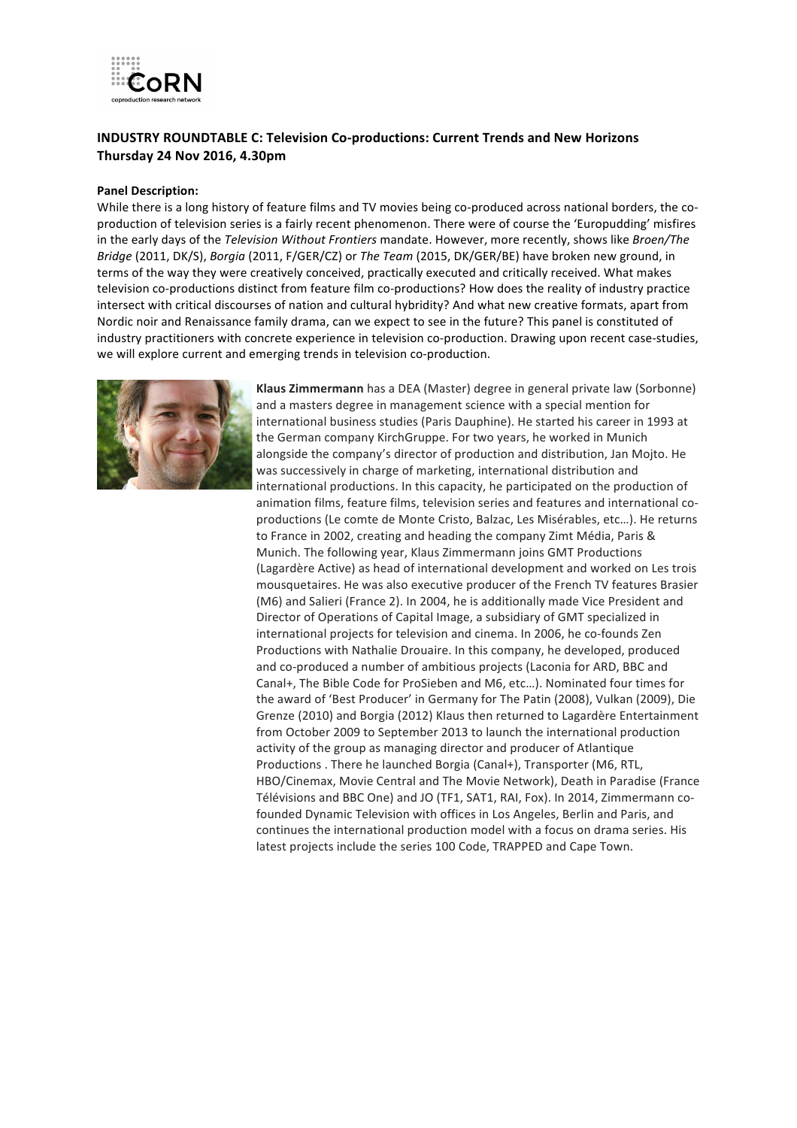

## **INDUSTRY ROUNDTABLE C: Television Co-productions: Current Trends and New Horizons Thursday 24 Nov 2016, 4.30pm**

#### **Panel Description:**

While there is a long history of feature films and TV movies being co-produced across national borders, the coproduction of television series is a fairly recent phenomenon. There were of course the 'Europudding' misfires in the early days of the *Television Without Frontiers* mandate. However, more recently, shows like *Broen/The Bridge* (2011, DK/S), *Borgia* (2011, F/GER/CZ) or *The Team* (2015, DK/GER/BE) have broken new ground, in terms of the way they were creatively conceived, practically executed and critically received. What makes television co-productions distinct from feature film co-productions? How does the reality of industry practice intersect with critical discourses of nation and cultural hybridity? And what new creative formats, apart from Nordic noir and Renaissance family drama, can we expect to see in the future? This panel is constituted of industry practitioners with concrete experience in television co-production. Drawing upon recent case-studies, we will explore current and emerging trends in television co-production.



**Klaus Zimmermann** has a DEA (Master) degree in general private law (Sorbonne) and a masters degree in management science with a special mention for international business studies (Paris Dauphine). He started his career in 1993 at the German company KirchGruppe. For two years, he worked in Munich alongside the company's director of production and distribution, Jan Mojto. He was successively in charge of marketing, international distribution and international productions. In this capacity, he participated on the production of animation films, feature films, television series and features and international coproductions (Le comte de Monte Cristo, Balzac, Les Misérables, etc...). He returns to France in 2002, creating and heading the company Zimt Média, Paris & Munich. The following year, Klaus Zimmermann joins GMT Productions (Lagardère Active) as head of international development and worked on Les trois mousquetaires. He was also executive producer of the French TV features Brasier (M6) and Salieri (France 2). In 2004, he is additionally made Vice President and Director of Operations of Capital Image, a subsidiary of GMT specialized in international projects for television and cinema. In 2006, he co-founds Zen Productions with Nathalie Drouaire. In this company, he developed, produced and co-produced a number of ambitious projects (Laconia for ARD, BBC and Canal+, The Bible Code for ProSieben and M6, etc...). Nominated four times for the award of 'Best Producer' in Germany for The Patin (2008), Vulkan (2009), Die Grenze (2010) and Borgia (2012) Klaus then returned to Lagardère Entertainment from October 2009 to September 2013 to launch the international production activity of the group as managing director and producer of Atlantique Productions . There he launched Borgia (Canal+), Transporter (M6, RTL, HBO/Cinemax, Movie Central and The Movie Network), Death in Paradise (France Télévisions and BBC One) and JO (TF1, SAT1, RAI, Fox). In 2014, Zimmermann cofounded Dynamic Television with offices in Los Angeles, Berlin and Paris, and continues the international production model with a focus on drama series. His latest projects include the series 100 Code, TRAPPED and Cape Town.